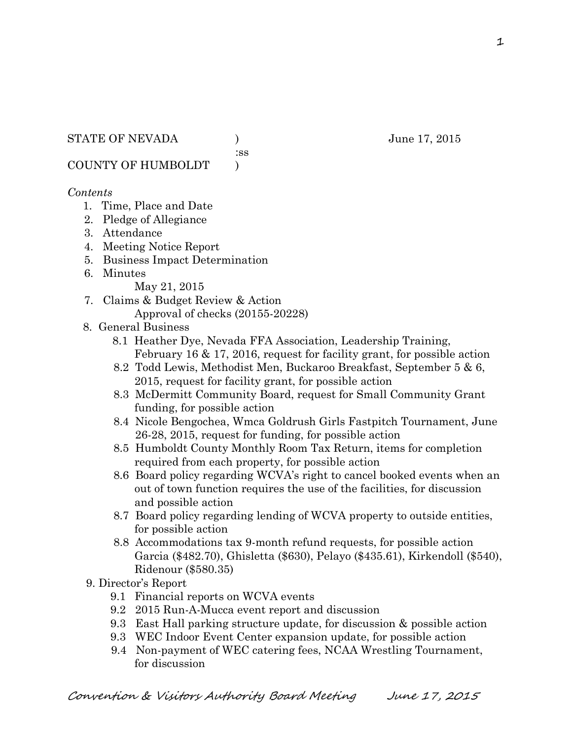:ss

COUNTY OF HUMBOLDT )

## *Contents*

- 1. Time, Place and Date
- 2. Pledge of Allegiance
- 3. Attendance
- 4. Meeting Notice Report
- 5. Business Impact Determination
- 6. Minutes

May 21, 2015

- 7. Claims & Budget Review & Action Approval of checks (20155-20228)
- 8. General Business
	- 8.1 Heather Dye, Nevada FFA Association, Leadership Training, February 16 & 17, 2016, request for facility grant, for possible action
	- 8.2 Todd Lewis, Methodist Men, Buckaroo Breakfast, September 5 & 6, 2015, request for facility grant, for possible action
	- 8.3 McDermitt Community Board, request for Small Community Grant funding, for possible action
	- 8.4 Nicole Bengochea, Wmca Goldrush Girls Fastpitch Tournament, June 26-28, 2015, request for funding, for possible action
	- 8.5 Humboldt County Monthly Room Tax Return, items for completion required from each property, for possible action
	- 8.6 Board policy regarding WCVA's right to cancel booked events when an out of town function requires the use of the facilities, for discussion and possible action
	- 8.7 Board policy regarding lending of WCVA property to outside entities, for possible action
	- 8.8 Accommodations tax 9-month refund requests, for possible action Garcia (\$482.70), Ghisletta (\$630), Pelayo (\$435.61), Kirkendoll (\$540), Ridenour (\$580.35)
- 9. Director's Report
	- 9.1 Financial reports on WCVA events
	- 9.2 2015 Run-A-Mucca event report and discussion
	- 9.3 East Hall parking structure update, for discussion & possible action
	- 9.3 WEC Indoor Event Center expansion update, for possible action
	- 9.4 Non-payment of WEC catering fees, NCAA Wrestling Tournament, for discussion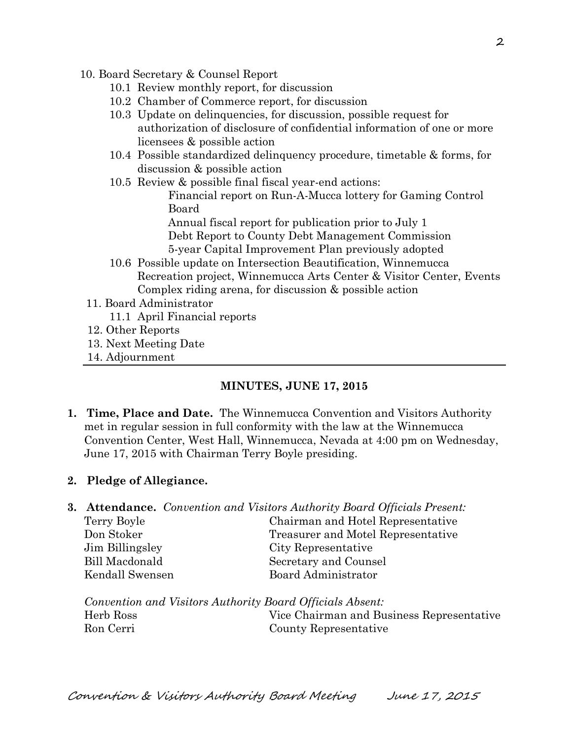- 10. Board Secretary & Counsel Report
	- 10.1 Review monthly report, for discussion
	- 10.2 Chamber of Commerce report, for discussion
	- 10.3 Update on delinquencies, for discussion, possible request for authorization of disclosure of confidential information of one or more licensees & possible action
	- 10.4 Possible standardized delinquency procedure, timetable & forms, for discussion & possible action
	- 10.5 Review & possible final fiscal year-end actions:
		- Financial report on Run-A-Mucca lottery for Gaming Control Board

 Annual fiscal report for publication prior to July 1 Debt Report to County Debt Management Commission 5-year Capital Improvement Plan previously adopted

- 10.6 Possible update on Intersection Beautification, Winnemucca Recreation project, Winnemucca Arts Center & Visitor Center, Events Complex riding arena, for discussion & possible action
- 11. Board Administrator
	- 11.1 April Financial reports
- 12. Other Reports
- 13. Next Meeting Date
- 14. Adjournment

#### **MINUTES, JUNE 17, 2015**

**1. Time, Place and Date.** The Winnemucca Convention and Visitors Authority met in regular session in full conformity with the law at the Winnemucca Convention Center, West Hall, Winnemucca, Nevada at 4:00 pm on Wednesday, June 17, 2015 with Chairman Terry Boyle presiding.

#### **2. Pledge of Allegiance.**

- **3. Attendance.** *Convention and Visitors Authority Board Officials Present:*  Terry Boyle Chairman and Hotel Representative Don Stoker Treasurer and Motel Representative
	- Jim Billingsley City Representative Bill Macdonald Secretary and Counsel Kendall Swensen Board Administrator

*Convention and Visitors Authority Board Officials Absent:*  Herb Ross Vice Chairman and Business Representative Ron Cerri County Representative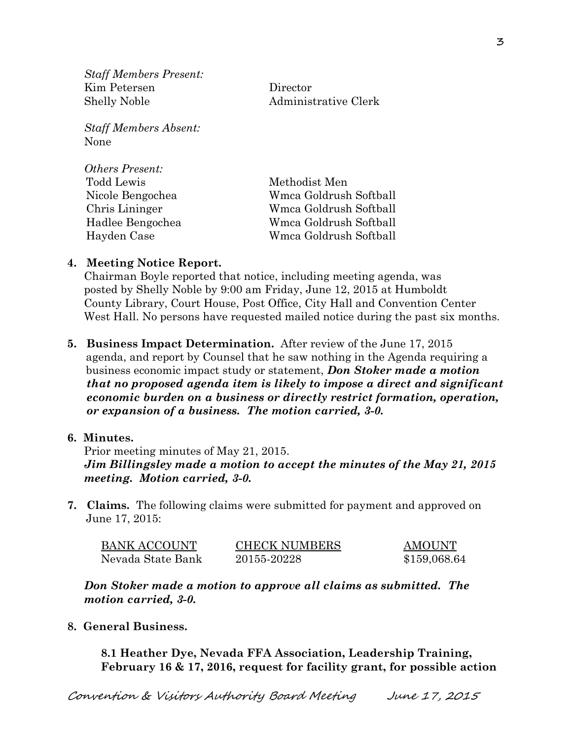*Staff Members Present:*  Kim Petersen Director Shelly Noble Administrative Clerk

*Staff Members Absent:*  None

| <b>Others Present:</b> |                        |
|------------------------|------------------------|
| Todd Lewis             | Methodist Men          |
| Nicole Bengochea       | Wmca Goldrush Softball |
| Chris Lininger         | Wmca Goldrush Softball |
| Hadlee Bengochea       | Wmca Goldrush Softball |
| Hayden Case            | Wmca Goldrush Softball |

### **4. Meeting Notice Report.**

Chairman Boyle reported that notice, including meeting agenda, was posted by Shelly Noble by 9:00 am Friday, June 12, 2015 at Humboldt County Library, Court House, Post Office, City Hall and Convention Center West Hall. No persons have requested mailed notice during the past six months.

**5. Business Impact Determination.** After review of the June 17, 2015 agenda, and report by Counsel that he saw nothing in the Agenda requiring a business economic impact study or statement, *Don Stoker made a motion that no proposed agenda item is likely to impose a direct and significant economic burden on a business or directly restrict formation, operation, or expansion of a business. The motion carried, 3-0.* 

### **6. Minutes.**

Prior meeting minutes of May 21, 2015. *Jim Billingsley made a motion to accept the minutes of the May 21, 2015 meeting. Motion carried, 3-0.* 

**7. Claims.** The following claims were submitted for payment and approved on June 17, 2015:

| <b>BANK ACCOUNT</b> | <b>CHECK NUMBERS</b> | <b>AMOUNT</b> |
|---------------------|----------------------|---------------|
| Nevada State Bank   | 20155-20228          | \$159,068.64  |

*Don Stoker made a motion to approve all claims as submitted. The motion carried, 3-0.* 

**8. General Business.** 

**8.1 Heather Dye, Nevada FFA Association, Leadership Training, February 16 & 17, 2016, request for facility grant, for possible action**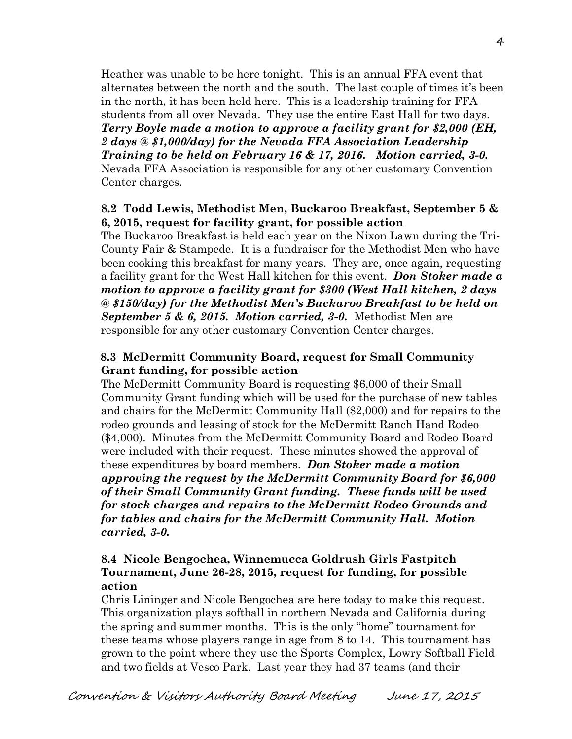Heather was unable to be here tonight. This is an annual FFA event that alternates between the north and the south. The last couple of times it's been in the north, it has been held here. This is a leadership training for FFA students from all over Nevada. They use the entire East Hall for two days. *Terry Boyle made a motion to approve a facility grant for \$2,000 (EH, 2 days @ \$1,000/day) for the Nevada FFA Association Leadership Training to be held on February 16 & 17, 2016. Motion carried, 3-0.*  Nevada FFA Association is responsible for any other customary Convention Center charges.

## **8.2 Todd Lewis, Methodist Men, Buckaroo Breakfast, September 5 & 6, 2015, request for facility grant, for possible action**

The Buckaroo Breakfast is held each year on the Nixon Lawn during the Tri- County Fair & Stampede. It is a fundraiser for the Methodist Men who have been cooking this breakfast for many years. They are, once again, requesting a facility grant for the West Hall kitchen for this event. *Don Stoker made a motion to approve a facility grant for \$300 (West Hall kitchen, 2 days @ \$150/day) for the Methodist Men's Buckaroo Breakfast to be held on September 5 & 6, 2015. Motion carried, 3-0.* Methodist Men are responsible for any other customary Convention Center charges.

# **8.3 McDermitt Community Board, request for Small Community Grant funding, for possible action**

The McDermitt Community Board is requesting \$6,000 of their Small Community Grant funding which will be used for the purchase of new tables and chairs for the McDermitt Community Hall (\$2,000) and for repairs to the rodeo grounds and leasing of stock for the McDermitt Ranch Hand Rodeo (\$4,000). Minutes from the McDermitt Community Board and Rodeo Board were included with their request. These minutes showed the approval of these expenditures by board members. *Don Stoker made a motion approving the request by the McDermitt Community Board for \$6,000 of their Small Community Grant funding. These funds will be used for stock charges and repairs to the McDermitt Rodeo Grounds and for tables and chairs for the McDermitt Community Hall. Motion carried, 3-0.*

# **8.4 Nicole Bengochea, Winnemucca Goldrush Girls Fastpitch Tournament, June 26-28, 2015, request for funding, for possible action**

Chris Lininger and Nicole Bengochea are here today to make this request. This organization plays softball in northern Nevada and California during the spring and summer months. This is the only "home" tournament for these teams whose players range in age from 8 to 14. This tournament has grown to the point where they use the Sports Complex, Lowry Softball Field and two fields at Vesco Park. Last year they had 37 teams (and their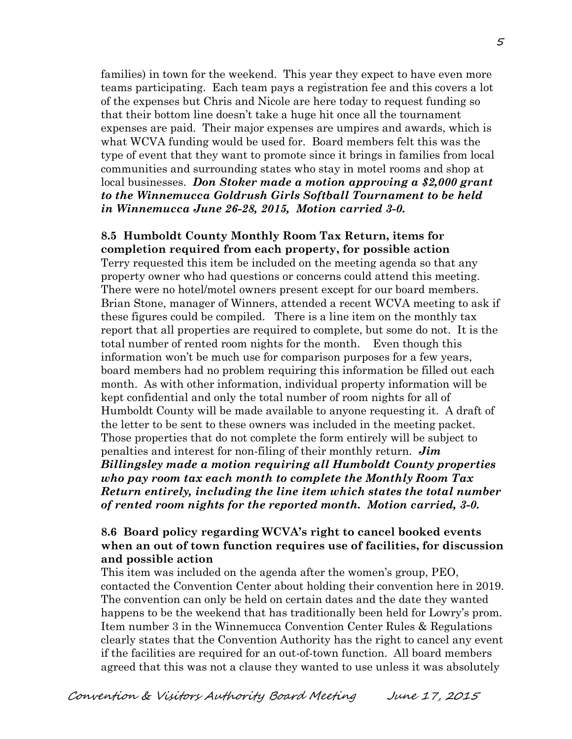families) in town for the weekend. This year they expect to have even more teams participating. Each team pays a registration fee and this covers a lot of the expenses but Chris and Nicole are here today to request funding so that their bottom line doesn't take a huge hit once all the tournament expenses are paid. Their major expenses are umpires and awards, which is what WCVA funding would be used for. Board members felt this was the type of event that they want to promote since it brings in families from local communities and surrounding states who stay in motel rooms and shop at local businesses. *Don Stoker made a motion approving a \$2,000 grant to the Winnemucca Goldrush Girls Softball Tournament to be held in Winnemucca June 26-28, 2015, Motion carried 3-0.*

### **8.5 Humboldt County Monthly Room Tax Return, items for completion required from each property, for possible action**

Terry requested this item be included on the meeting agenda so that any property owner who had questions or concerns could attend this meeting. There were no hotel/motel owners present except for our board members. Brian Stone, manager of Winners, attended a recent WCVA meeting to ask if these figures could be compiled. There is a line item on the monthly tax report that all properties are required to complete, but some do not. It is the total number of rented room nights for the month. Even though this information won't be much use for comparison purposes for a few years, board members had no problem requiring this information be filled out each month. As with other information, individual property information will be kept confidential and only the total number of room nights for all of Humboldt County will be made available to anyone requesting it. A draft of the letter to be sent to these owners was included in the meeting packet. Those properties that do not complete the form entirely will be subject to penalties and interest for non-filing of their monthly return. *Jim Billingsley made a motion requiring all Humboldt County properties who pay room tax each month to complete the Monthly Room Tax Return entirely, including the line item which states the total number of rented room nights for the reported month. Motion carried, 3-0.* 

## **8.6 Board policy regarding WCVA's right to cancel booked events when an out of town function requires use of facilities, for discussion and possible action**

This item was included on the agenda after the women's group, PEO, contacted the Convention Center about holding their convention here in 2019. The convention can only be held on certain dates and the date they wanted happens to be the weekend that has traditionally been held for Lowry's prom. Item number 3 in the Winnemucca Convention Center Rules & Regulations clearly states that the Convention Authority has the right to cancel any event if the facilities are required for an out-of-town function. All board members agreed that this was not a clause they wanted to use unless it was absolutely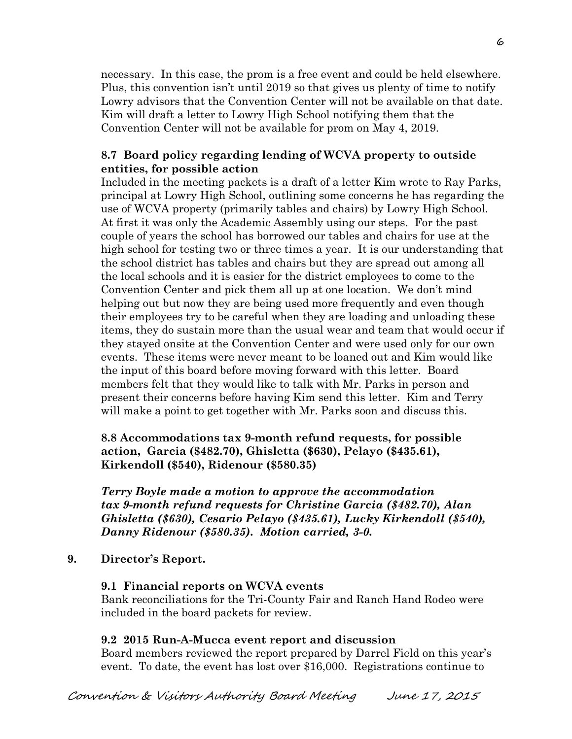necessary. In this case, the prom is a free event and could be held elsewhere. Plus, this convention isn't until 2019 so that gives us plenty of time to notify Lowry advisors that the Convention Center will not be available on that date. Kim will draft a letter to Lowry High School notifying them that the Convention Center will not be available for prom on May 4, 2019.

# **8.7 Board policy regarding lending of WCVA property to outside entities, for possible action**

Included in the meeting packets is a draft of a letter Kim wrote to Ray Parks, principal at Lowry High School, outlining some concerns he has regarding the use of WCVA property (primarily tables and chairs) by Lowry High School. At first it was only the Academic Assembly using our steps. For the past couple of years the school has borrowed our tables and chairs for use at the high school for testing two or three times a year. It is our understanding that the school district has tables and chairs but they are spread out among all the local schools and it is easier for the district employees to come to the Convention Center and pick them all up at one location. We don't mind helping out but now they are being used more frequently and even though their employees try to be careful when they are loading and unloading these items, they do sustain more than the usual wear and team that would occur if they stayed onsite at the Convention Center and were used only for our own events. These items were never meant to be loaned out and Kim would like the input of this board before moving forward with this letter. Board members felt that they would like to talk with Mr. Parks in person and present their concerns before having Kim send this letter. Kim and Terry will make a point to get together with Mr. Parks soon and discuss this.

**8.8 Accommodations tax 9-month refund requests, for possible action, Garcia (\$482.70), Ghisletta (\$630), Pelayo (\$435.61), Kirkendoll (\$540), Ridenour (\$580.35)** 

*Terry Boyle made a motion to approve the accommodation tax 9-month refund requests for Christine Garcia (\$482.70), Alan Ghisletta (\$630), Cesario Pelayo (\$435.61), Lucky Kirkendoll (\$540), Danny Ridenour (\$580.35). Motion carried, 3-0.*

## **9. Director's Report.**

## **9.1 Financial reports on WCVA events**

Bank reconciliations for the Tri-County Fair and Ranch Hand Rodeo were included in the board packets for review.

## **9.2 2015 Run-A-Mucca event report and discussion**

Board members reviewed the report prepared by Darrel Field on this year's event. To date, the event has lost over \$16,000. Registrations continue to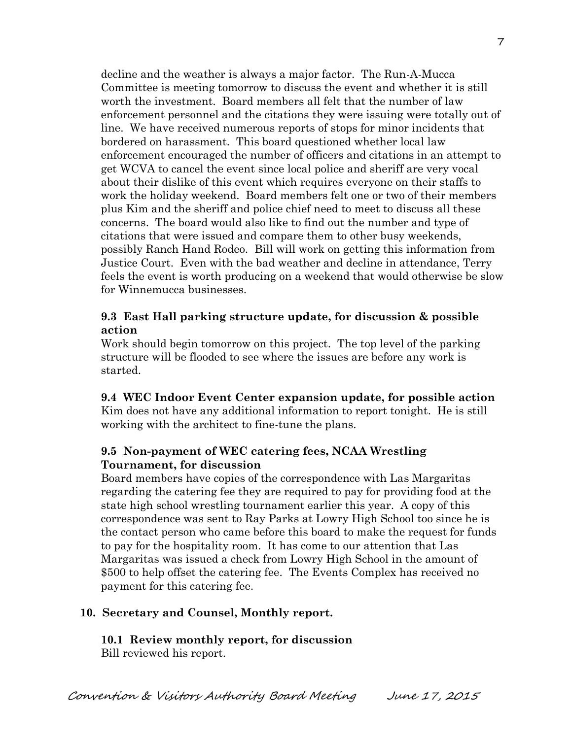decline and the weather is always a major factor. The Run-A-Mucca Committee is meeting tomorrow to discuss the event and whether it is still worth the investment. Board members all felt that the number of law enforcement personnel and the citations they were issuing were totally out of line. We have received numerous reports of stops for minor incidents that bordered on harassment. This board questioned whether local law enforcement encouraged the number of officers and citations in an attempt to get WCVA to cancel the event since local police and sheriff are very vocal about their dislike of this event which requires everyone on their staffs to work the holiday weekend. Board members felt one or two of their members plus Kim and the sheriff and police chief need to meet to discuss all these concerns. The board would also like to find out the number and type of citations that were issued and compare them to other busy weekends, possibly Ranch Hand Rodeo. Bill will work on getting this information from Justice Court. Even with the bad weather and decline in attendance, Terry feels the event is worth producing on a weekend that would otherwise be slow for Winnemucca businesses.

# **9.3 East Hall parking structure update, for discussion & possible action**

Work should begin tomorrow on this project. The top level of the parking structure will be flooded to see where the issues are before any work is started.

**9.4 WEC Indoor Event Center expansion update, for possible action**  Kim does not have any additional information to report tonight. He is still working with the architect to fine-tune the plans.

# **9.5 Non-payment of WEC catering fees, NCAA Wrestling Tournament, for discussion**

Board members have copies of the correspondence with Las Margaritas regarding the catering fee they are required to pay for providing food at the state high school wrestling tournament earlier this year. A copy of this correspondence was sent to Ray Parks at Lowry High School too since he is the contact person who came before this board to make the request for funds to pay for the hospitality room. It has come to our attention that Las Margaritas was issued a check from Lowry High School in the amount of \$500 to help offset the catering fee. The Events Complex has received no payment for this catering fee.

# **10. Secretary and Counsel, Monthly report.**

**10.1 Review monthly report, for discussion**  Bill reviewed his report.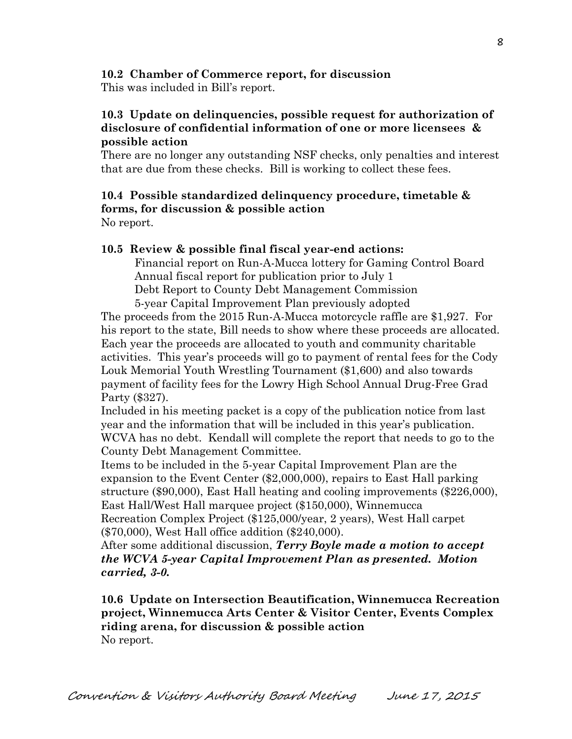# **10.2 Chamber of Commerce report, for discussion**

This was included in Bill's report.

# **10.3 Update on delinquencies, possible request for authorization of disclosure of confidential information of one or more licensees & possible action**

There are no longer any outstanding NSF checks, only penalties and interest that are due from these checks. Bill is working to collect these fees.

# **10.4 Possible standardized delinquency procedure, timetable & forms, for discussion & possible action**

No report.

# **10.5 Review & possible final fiscal year-end actions:**

Financial report on Run-A-Mucca lottery for Gaming Control Board Annual fiscal report for publication prior to July 1 Debt Report to County Debt Management Commission 5-year Capital Improvement Plan previously adopted

 The proceeds from the 2015 Run-A-Mucca motorcycle raffle are \$1,927. For his report to the state, Bill needs to show where these proceeds are allocated. Each year the proceeds are allocated to youth and community charitable activities. This year's proceeds will go to payment of rental fees for the Cody Louk Memorial Youth Wrestling Tournament (\$1,600) and also towards payment of facility fees for the Lowry High School Annual Drug-Free Grad Party (\$327).

 Included in his meeting packet is a copy of the publication notice from last year and the information that will be included in this year's publication. WCVA has no debt. Kendall will complete the report that needs to go to the County Debt Management Committee.

 Items to be included in the 5-year Capital Improvement Plan are the expansion to the Event Center (\$2,000,000), repairs to East Hall parking structure (\$90,000), East Hall heating and cooling improvements (\$226,000), East Hall/West Hall marquee project (\$150,000), Winnemucca

 Recreation Complex Project (\$125,000/year, 2 years), West Hall carpet (\$70,000), West Hall office addition (\$240,000).

 After some additional discussion, *Terry Boyle made a motion to accept the WCVA 5-year Capital Improvement Plan as presented. Motion carried, 3-0.*

**10.6 Update on Intersection Beautification, Winnemucca Recreation project, Winnemucca Arts Center & Visitor Center, Events Complex riding arena, for discussion & possible action**  No report.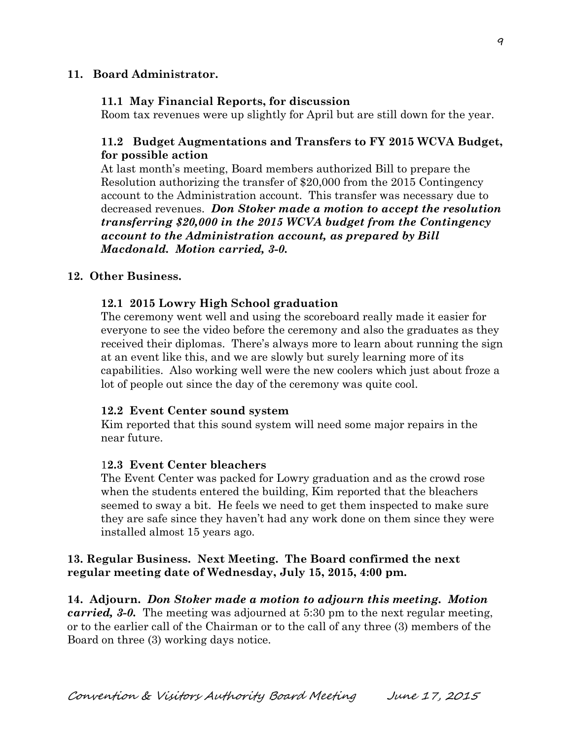## **11. Board Administrator.**

#### **11.1 May Financial Reports, for discussion**

Room tax revenues were up slightly for April but are still down for the year.

# **11.2 Budget Augmentations and Transfers to FY 2015 WCVA Budget, for possible action**

At last month's meeting, Board members authorized Bill to prepare the Resolution authorizing the transfer of \$20,000 from the 2015 Contingency account to the Administration account. This transfer was necessary due to decreased revenues. *Don Stoker made a motion to accept the resolution transferring \$20,000 in the 2015 WCVA budget from the Contingency account to the Administration account, as prepared by Bill Macdonald. Motion carried, 3-0.* 

#### **12. Other Business.**

#### **12.1 2015 Lowry High School graduation**

The ceremony went well and using the scoreboard really made it easier for everyone to see the video before the ceremony and also the graduates as they received their diplomas. There's always more to learn about running the sign at an event like this, and we are slowly but surely learning more of its capabilities. Also working well were the new coolers which just about froze a lot of people out since the day of the ceremony was quite cool.

#### **12.2 Event Center sound system**

Kim reported that this sound system will need some major repairs in the near future.

#### 1**2.3 Event Center bleachers**

 The Event Center was packed for Lowry graduation and as the crowd rose when the students entered the building, Kim reported that the bleachers seemed to sway a bit. He feels we need to get them inspected to make sure they are safe since they haven't had any work done on them since they were installed almost 15 years ago.

## **13. Regular Business. Next Meeting. The Board confirmed the next regular meeting date of Wednesday, July 15, 2015, 4:00 pm.**

**14. Adjourn.** *Don Stoker made a motion to adjourn this meeting. Motion carried, 3-0.* The meeting was adjourned at 5:30 pm to the next regular meeting, or to the earlier call of the Chairman or to the call of any three (3) members of the Board on three (3) working days notice.